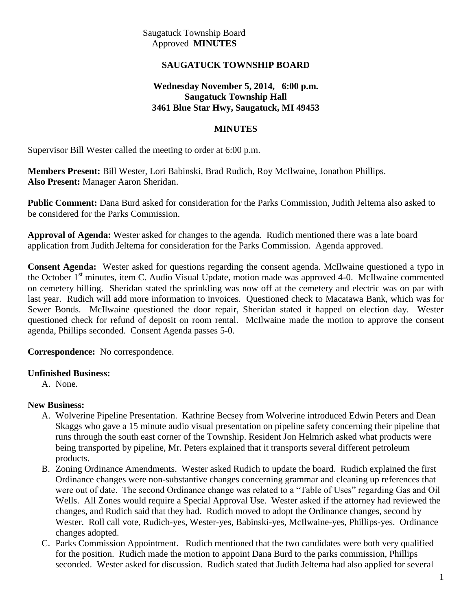Saugatuck Township Board Approved **MINUTES**

## **SAUGATUCK TOWNSHIP BOARD**

## **Wednesday November 5, 2014, 6:00 p.m. Saugatuck Township Hall 3461 Blue Star Hwy, Saugatuck, MI 49453**

## **MINUTES**

Supervisor Bill Wester called the meeting to order at 6:00 p.m.

**Members Present:** Bill Wester, Lori Babinski, Brad Rudich, Roy McIlwaine, Jonathon Phillips. **Also Present:** Manager Aaron Sheridan.

**Public Comment:** Dana Burd asked for consideration for the Parks Commission, Judith Jeltema also asked to be considered for the Parks Commission.

**Approval of Agenda:** Wester asked for changes to the agenda. Rudich mentioned there was a late board application from Judith Jeltema for consideration for the Parks Commission. Agenda approved.

**Consent Agenda:** Wester asked for questions regarding the consent agenda. McIlwaine questioned a typo in the October 1<sup>st</sup> minutes, item C. Audio Visual Update, motion made was approved 4-0. McIlwaine commented on cemetery billing. Sheridan stated the sprinkling was now off at the cemetery and electric was on par with last year. Rudich will add more information to invoices. Questioned check to Macatawa Bank, which was for Sewer Bonds. McIlwaine questioned the door repair, Sheridan stated it happed on election day. Wester questioned check for refund of deposit on room rental. McIlwaine made the motion to approve the consent agenda, Phillips seconded. Consent Agenda passes 5-0.

#### **Correspondence:** No correspondence.

#### **Unfinished Business:**

A. None.

## **New Business:**

- A. Wolverine Pipeline Presentation. Kathrine Becsey from Wolverine introduced Edwin Peters and Dean Skaggs who gave a 15 minute audio visual presentation on pipeline safety concerning their pipeline that runs through the south east corner of the Township. Resident Jon Helmrich asked what products were being transported by pipeline, Mr. Peters explained that it transports several different petroleum products.
- B. Zoning Ordinance Amendments. Wester asked Rudich to update the board. Rudich explained the first Ordinance changes were non-substantive changes concerning grammar and cleaning up references that were out of date. The second Ordinance change was related to a "Table of Uses" regarding Gas and Oil Wells. All Zones would require a Special Approval Use. Wester asked if the attorney had reviewed the changes, and Rudich said that they had. Rudich moved to adopt the Ordinance changes, second by Wester. Roll call vote, Rudich-yes, Wester-yes, Babinski-yes, McIlwaine-yes, Phillips-yes. Ordinance changes adopted.
- C. Parks Commission Appointment. Rudich mentioned that the two candidates were both very qualified for the position. Rudich made the motion to appoint Dana Burd to the parks commission, Phillips seconded. Wester asked for discussion. Rudich stated that Judith Jeltema had also applied for several